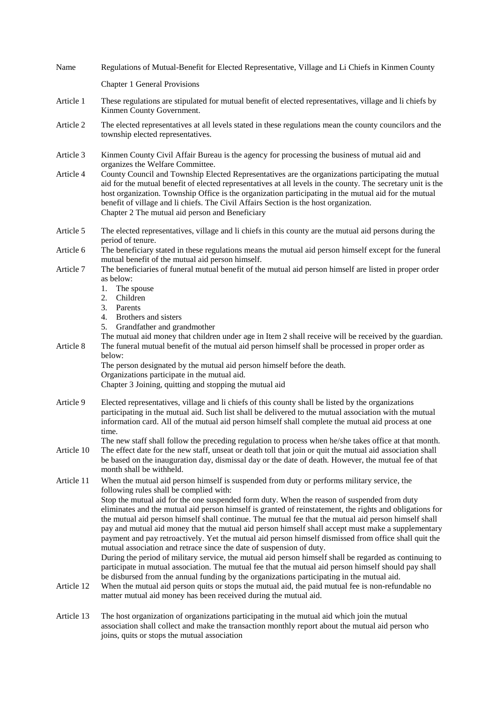| Name                     | Regulations of Mutual-Benefit for Elected Representative, Village and Li Chiefs in Kinmen County                                                                                                                                                                                                                                                                                                                                                                                                                                                                                                                                                                                                                                                                                                                                                                                                                                                                                                                                                                                                                                                                          |
|--------------------------|---------------------------------------------------------------------------------------------------------------------------------------------------------------------------------------------------------------------------------------------------------------------------------------------------------------------------------------------------------------------------------------------------------------------------------------------------------------------------------------------------------------------------------------------------------------------------------------------------------------------------------------------------------------------------------------------------------------------------------------------------------------------------------------------------------------------------------------------------------------------------------------------------------------------------------------------------------------------------------------------------------------------------------------------------------------------------------------------------------------------------------------------------------------------------|
|                          | <b>Chapter 1 General Provisions</b>                                                                                                                                                                                                                                                                                                                                                                                                                                                                                                                                                                                                                                                                                                                                                                                                                                                                                                                                                                                                                                                                                                                                       |
| Article 1                | These regulations are stipulated for mutual benefit of elected representatives, village and li chiefs by<br>Kinmen County Government.                                                                                                                                                                                                                                                                                                                                                                                                                                                                                                                                                                                                                                                                                                                                                                                                                                                                                                                                                                                                                                     |
| Article 2                | The elected representatives at all levels stated in these regulations mean the county councilors and the<br>township elected representatives.                                                                                                                                                                                                                                                                                                                                                                                                                                                                                                                                                                                                                                                                                                                                                                                                                                                                                                                                                                                                                             |
| Article 3                | Kinmen County Civil Affair Bureau is the agency for processing the business of mutual aid and<br>organizes the Welfare Committee.                                                                                                                                                                                                                                                                                                                                                                                                                                                                                                                                                                                                                                                                                                                                                                                                                                                                                                                                                                                                                                         |
| Article 4                | County Council and Township Elected Representatives are the organizations participating the mutual<br>aid for the mutual benefit of elected representatives at all levels in the county. The secretary unit is the<br>host organization. Township Office is the organization participating in the mutual aid for the mutual<br>benefit of village and li chiefs. The Civil Affairs Section is the host organization.<br>Chapter 2 The mutual aid person and Beneficiary                                                                                                                                                                                                                                                                                                                                                                                                                                                                                                                                                                                                                                                                                                   |
| Article 5                | The elected representatives, village and li chiefs in this county are the mutual aid persons during the<br>period of tenure.                                                                                                                                                                                                                                                                                                                                                                                                                                                                                                                                                                                                                                                                                                                                                                                                                                                                                                                                                                                                                                              |
| Article 6                | The beneficiary stated in these regulations means the mutual aid person himself except for the funeral<br>mutual benefit of the mutual aid person himself.                                                                                                                                                                                                                                                                                                                                                                                                                                                                                                                                                                                                                                                                                                                                                                                                                                                                                                                                                                                                                |
| Article 7                | The beneficiaries of funeral mutual benefit of the mutual aid person himself are listed in proper order<br>as below:<br>1. The spouse                                                                                                                                                                                                                                                                                                                                                                                                                                                                                                                                                                                                                                                                                                                                                                                                                                                                                                                                                                                                                                     |
|                          | 2. Children<br>3. Parents<br>4. Brothers and sisters<br>Grandfather and grandmother<br>5.                                                                                                                                                                                                                                                                                                                                                                                                                                                                                                                                                                                                                                                                                                                                                                                                                                                                                                                                                                                                                                                                                 |
| Article 8                | The mutual aid money that children under age in Item 2 shall receive will be received by the guardian.<br>The funeral mutual benefit of the mutual aid person himself shall be processed in proper order as<br>below:                                                                                                                                                                                                                                                                                                                                                                                                                                                                                                                                                                                                                                                                                                                                                                                                                                                                                                                                                     |
|                          | The person designated by the mutual aid person himself before the death.<br>Organizations participate in the mutual aid.                                                                                                                                                                                                                                                                                                                                                                                                                                                                                                                                                                                                                                                                                                                                                                                                                                                                                                                                                                                                                                                  |
|                          | Chapter 3 Joining, quitting and stopping the mutual aid                                                                                                                                                                                                                                                                                                                                                                                                                                                                                                                                                                                                                                                                                                                                                                                                                                                                                                                                                                                                                                                                                                                   |
| Article 9                | Elected representatives, village and li chiefs of this county shall be listed by the organizations<br>participating in the mutual aid. Such list shall be delivered to the mutual association with the mutual<br>information card. All of the mutual aid person himself shall complete the mutual aid process at one<br>time.                                                                                                                                                                                                                                                                                                                                                                                                                                                                                                                                                                                                                                                                                                                                                                                                                                             |
| Article 10               | The new staff shall follow the preceding regulation to process when he/she takes office at that month.<br>The effect date for the new staff, unseat or death toll that join or quit the mutual aid association shall<br>be based on the inauguration day, dismissal day or the date of death. However, the mutual fee of that<br>month shall be withheld.                                                                                                                                                                                                                                                                                                                                                                                                                                                                                                                                                                                                                                                                                                                                                                                                                 |
| Article 11<br>Article 12 | When the mutual aid person himself is suspended from duty or performs military service, the<br>following rules shall be complied with:<br>Stop the mutual aid for the one suspended form duty. When the reason of suspended from duty<br>eliminates and the mutual aid person himself is granted of reinstatement, the rights and obligations for<br>the mutual aid person himself shall continue. The mutual fee that the mutual aid person himself shall<br>pay and mutual aid money that the mutual aid person himself shall accept must make a supplementary<br>payment and pay retroactively. Yet the mutual aid person himself dismissed from office shall quit the<br>mutual association and retrace since the date of suspension of duty.<br>During the period of military service, the mutual aid person himself shall be regarded as continuing to<br>participate in mutual association. The mutual fee that the mutual aid person himself should pay shall<br>be disbursed from the annual funding by the organizations participating in the mutual aid.<br>When the mutual aid person quits or stops the mutual aid, the paid mutual fee is non-refundable no |
|                          | matter mutual aid money has been received during the mutual aid.                                                                                                                                                                                                                                                                                                                                                                                                                                                                                                                                                                                                                                                                                                                                                                                                                                                                                                                                                                                                                                                                                                          |
| Article 13               | The host organization of organizations participating in the mutual aid which join the mutual<br>association shall collect and make the transaction monthly report about the mutual aid person who<br>joins, quits or stops the mutual association                                                                                                                                                                                                                                                                                                                                                                                                                                                                                                                                                                                                                                                                                                                                                                                                                                                                                                                         |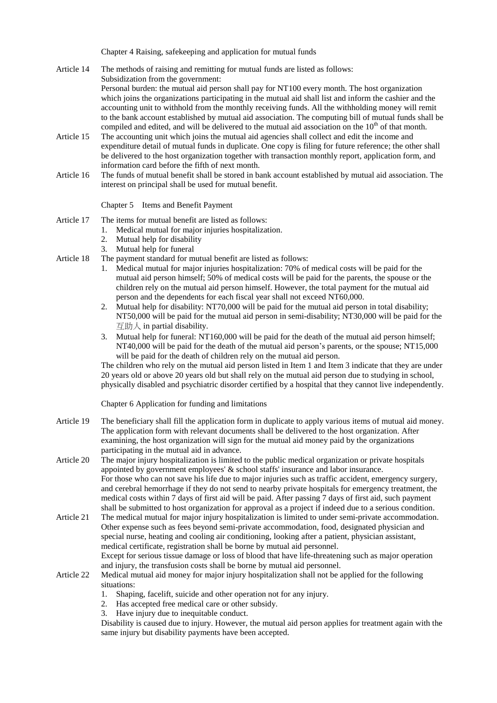Chapter 4 Raising, safekeeping and application for mutual funds

- Article 14 The methods of raising and remitting for mutual funds are listed as follows: Subsidization from the government: Personal burden: the mutual aid person shall pay for NT100 every month. The host organization which joins the organizations participating in the mutual aid shall list and inform the cashier and the accounting unit to withhold from the monthly receiving funds. All the withholding money will remit to the bank account established by mutual aid association. The computing bill of mutual funds shall be compiled and edited, and will be delivered to the mutual aid association on the  $10<sup>th</sup>$  of that month.
- Article 15 The accounting unit which joins the mutual aid agencies shall collect and edit the income and expenditure detail of mutual funds in duplicate. One copy is filing for future reference; the other shall be delivered to the host organization together with transaction monthly report, application form, and information card before the fifth of next month.
- Article 16 The funds of mutual benefit shall be stored in bank account established by mutual aid association. The interest on principal shall be used for mutual benefit.

## Chapter 5 Items and Benefit Payment

Article 17 The items for mutual benefit are listed as follows:

- 1. Medical mutual for major injuries hospitalization.
- 2. Mutual help for disability
- 3. Mutual help for funeral
- Article 18 The payment standard for mutual benefit are listed as follows:
	- 1. Medical mutual for major injuries hospitalization: 70% of medical costs will be paid for the mutual aid person himself; 50% of medical costs will be paid for the parents, the spouse or the children rely on the mutual aid person himself. However, the total payment for the mutual aid person and the dependents for each fiscal year shall not exceed NT60,000.
	- 2. Mutual help for disability: NT70,000 will be paid for the mutual aid person in total disability; NT50,000 will be paid for the mutual aid person in semi-disability; NT30,000 will be paid for the  $\overline{q}$ 助人 in partial disability.
	- 3. Mutual help for funeral: NT160,000 will be paid for the death of the mutual aid person himself; NT40,000 will be paid for the death of the mutual aid person's parents, or the spouse; NT15,000 will be paid for the death of children rely on the mutual aid person.

The children who rely on the mutual aid person listed in Item 1 and Item 3 indicate that they are under 20 years old or above 20 years old but shall rely on the mutual aid person due to studying in school, physically disabled and psychiatric disorder certified by a hospital that they cannot live independently.

Chapter 6 Application for funding and limitations

Article 19 The beneficiary shall fill the application form in duplicate to apply various items of mutual aid money. The application form with relevant documents shall be delivered to the host organization. After examining, the host organization will sign for the mutual aid money paid by the organizations participating in the mutual aid in advance.

Article 20 The major injury hospitalization is limited to the public medical organization or private hospitals appointed by government employees' & school staffs' insurance and labor insurance. For those who can not save his life due to major injuries such as traffic accident, emergency surgery, and cerebral hemorrhage if they do not send to nearby private hospitals for emergency treatment, the medical costs within 7 days of first aid will be paid. After passing 7 days of first aid, such payment shall be submitted to host organization for approval as a project if indeed due to a serious condition.

- Article 21 The medical mutual for major injury hospitalization is limited to under semi-private accommodation. Other expense such as fees beyond semi-private accommodation, food, designated physician and special nurse, heating and cooling air conditioning, looking after a patient, physician assistant, medical certificate, registration shall be borne by mutual aid personnel. Except for serious tissue damage or loss of blood that have life-threatening such as major operation
- and injury, the transfusion costs shall be borne by mutual aid personnel. Article 22 Medical mutual aid money for major injury hospitalization shall not be applied for the following situations:
	- 1. Shaping, facelift, suicide and other operation not for any injury.
	- 2. Has accepted free medical care or other subsidy.
	- 3. Have injury due to inequitable conduct.

Disability is caused due to injury. However, the mutual aid person applies for treatment again with the same injury but disability payments have been accepted.